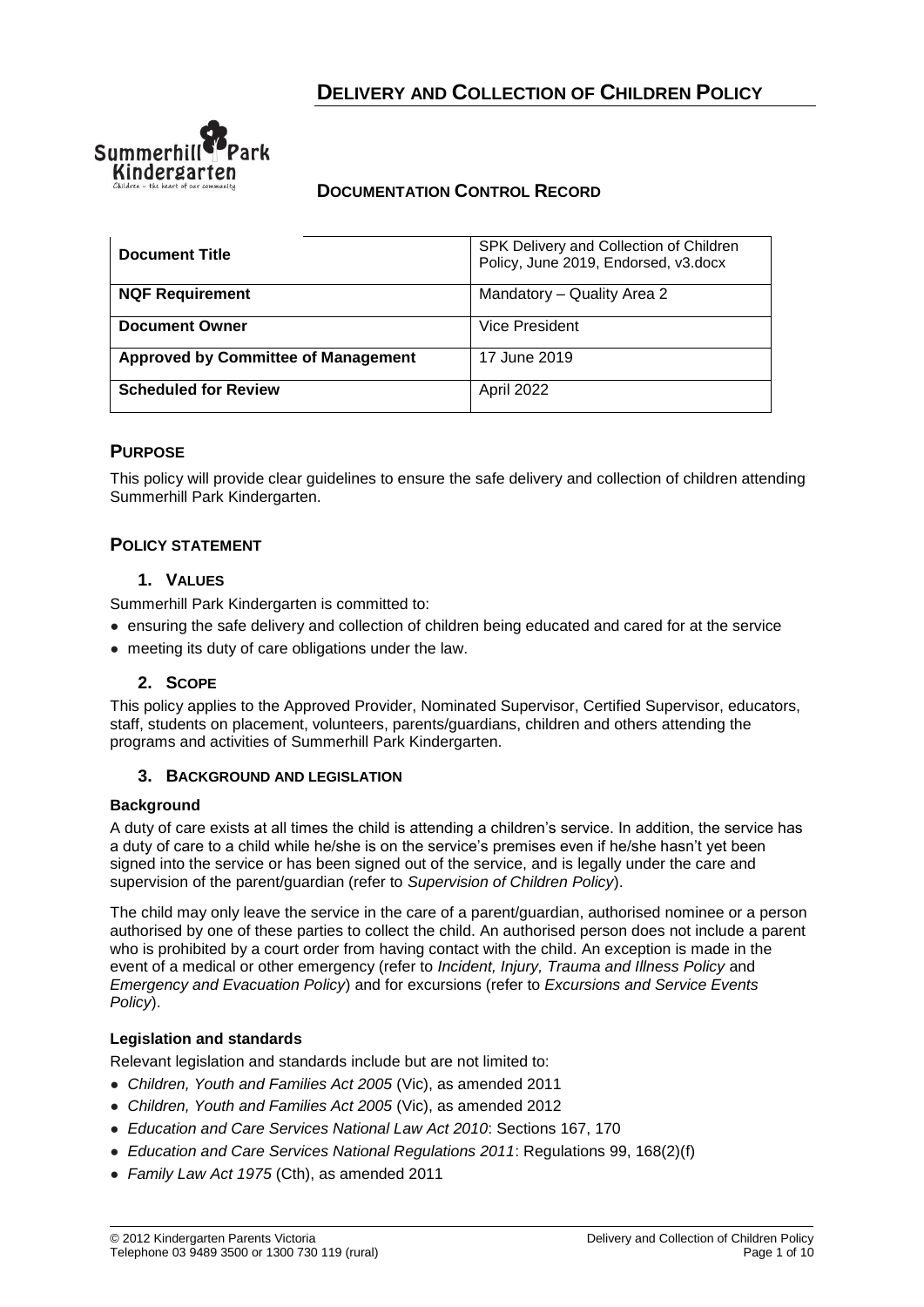

# **DOCUMENTATION CONTROL RECORD**

| <b>Document Title</b>                      | SPK Delivery and Collection of Children<br>Policy, June 2019, Endorsed, v3.docx |
|--------------------------------------------|---------------------------------------------------------------------------------|
| <b>NQF Requirement</b>                     | Mandatory - Quality Area 2                                                      |
| <b>Document Owner</b>                      | Vice President                                                                  |
| <b>Approved by Committee of Management</b> | 17 June 2019                                                                    |
| <b>Scheduled for Review</b>                | April 2022                                                                      |

# **PURPOSE**

This policy will provide clear guidelines to ensure the safe delivery and collection of children attending Summerhill Park Kindergarten.

## **POLICY STATEMENT**

## **1. VALUES**

Summerhill Park Kindergarten is committed to:

- ensuring the safe delivery and collection of children being educated and cared for at the service
- meeting its duty of care obligations under the law.

#### **2. SCOPE**

This policy applies to the Approved Provider, Nominated Supervisor, Certified Supervisor, educators, staff, students on placement, volunteers, parents/guardians, children and others attending the programs and activities of Summerhill Park Kindergarten.

#### **3. BACKGROUND AND LEGISLATION**

#### **Background**

A duty of care exists at all times the child is attending a children's service. In addition, the service has a duty of care to a child while he/she is on the service's premises even if he/she hasn't yet been signed into the service or has been signed out of the service, and is legally under the care and supervision of the parent/guardian (refer to *Supervision of Children Policy*).

The child may only leave the service in the care of a parent/guardian, authorised nominee or a person authorised by one of these parties to collect the child. An authorised person does not include a parent who is prohibited by a court order from having contact with the child. An exception is made in the event of a medical or other emergency (refer to *Incident, Injury, Trauma and Illness Policy* and *Emergency and Evacuation Policy*) and for excursions (refer to *Excursions and Service Events Policy*).

#### **Legislation and standards**

Relevant legislation and standards include but are not limited to:

- *Children, Youth and Families Act 2005* (Vic), as amended 2011
- *Children, Youth and Families Act 2005* (Vic), as amended 2012
- *Education and Care Services National Law Act 2010*: Sections 167, 170
- *Education and Care Services National Regulations 2011*: Regulations 99, 168(2)(f)
- *Family Law Act 1975* (Cth), as amended 2011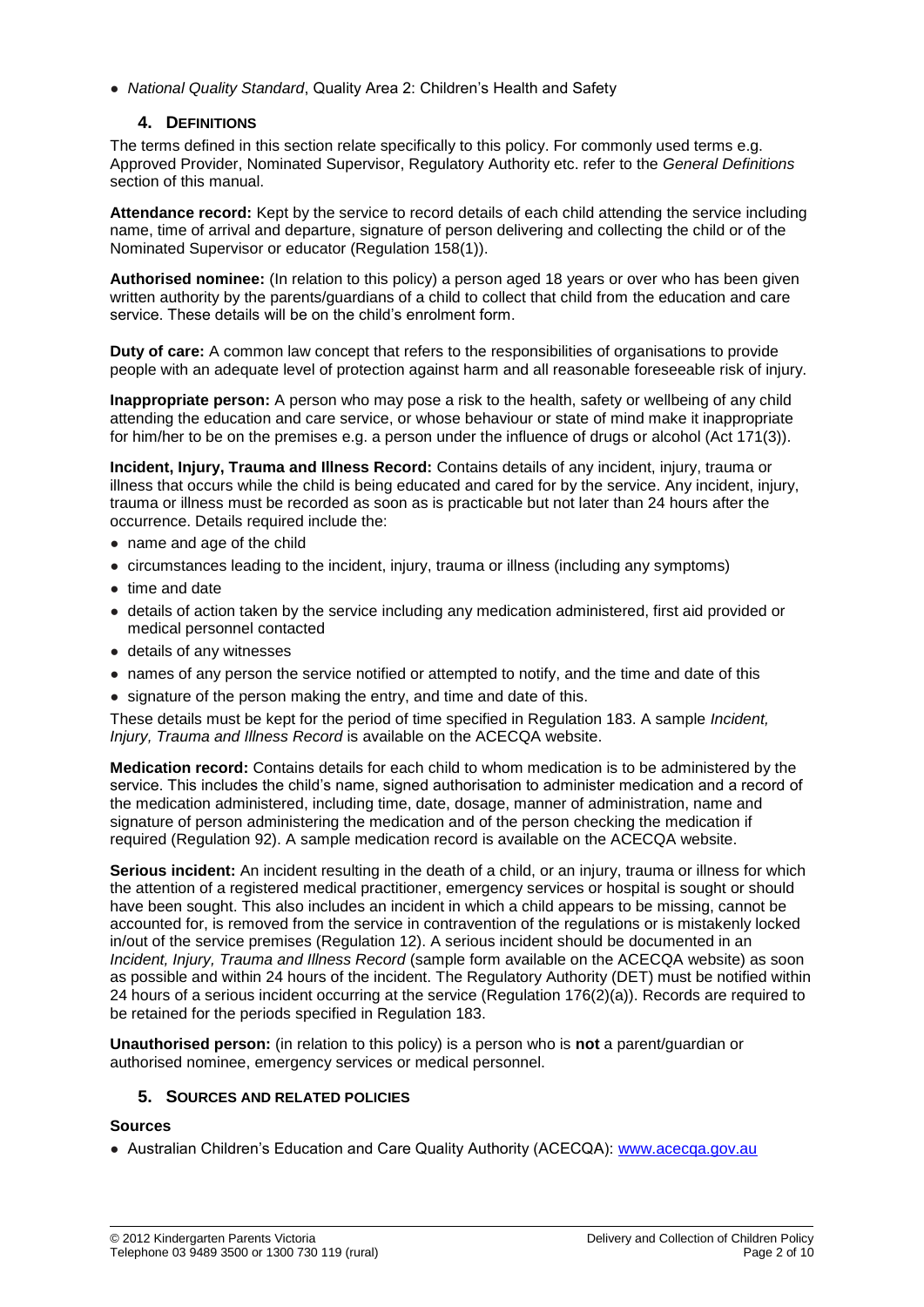● *National Quality Standard*, Quality Area 2: Children's Health and Safety

# **4. DEFINITIONS**

The terms defined in this section relate specifically to this policy. For commonly used terms e.g. Approved Provider, Nominated Supervisor, Regulatory Authority etc. refer to the *General Definitions* section of this manual.

**Attendance record:** Kept by the service to record details of each child attending the service including name, time of arrival and departure, signature of person delivering and collecting the child or of the Nominated Supervisor or educator (Regulation 158(1)).

**Authorised nominee:** (In relation to this policy) a person aged 18 years or over who has been given written authority by the parents/guardians of a child to collect that child from the education and care service. These details will be on the child's enrolment form.

**Duty of care:** A common law concept that refers to the responsibilities of organisations to provide people with an adequate level of protection against harm and all reasonable foreseeable risk of injury.

**Inappropriate person:** A person who may pose a risk to the health, safety or wellbeing of any child attending the education and care service, or whose behaviour or state of mind make it inappropriate for him/her to be on the premises e.g. a person under the influence of drugs or alcohol (Act 171(3)).

**Incident, Injury, Trauma and Illness Record:** Contains details of any incident, injury, trauma or illness that occurs while the child is being educated and cared for by the service. Any incident, injury, trauma or illness must be recorded as soon as is practicable but not later than 24 hours after the occurrence. Details required include the:

- name and age of the child
- circumstances leading to the incident, injury, trauma or illness (including any symptoms)
- time and date
- details of action taken by the service including any medication administered, first aid provided or medical personnel contacted
- details of any witnesses
- names of any person the service notified or attempted to notify, and the time and date of this
- signature of the person making the entry, and time and date of this.

These details must be kept for the period of time specified in Regulation 183. A sample *Incident, Injury, Trauma and Illness Record* is available on the ACECQA website.

**Medication record:** Contains details for each child to whom medication is to be administered by the service. This includes the child's name, signed authorisation to administer medication and a record of the medication administered, including time, date, dosage, manner of administration, name and signature of person administering the medication and of the person checking the medication if required (Regulation 92). A sample medication record is available on the ACECQA website.

**Serious incident:** An incident resulting in the death of a child, or an injury, trauma or illness for which the attention of a registered medical practitioner, emergency services or hospital is sought or should have been sought. This also includes an incident in which a child appears to be missing, cannot be accounted for, is removed from the service in contravention of the regulations or is mistakenly locked in/out of the service premises (Regulation 12). A serious incident should be documented in an *Incident, Injury, Trauma and Illness Record* (sample form available on the ACECQA website) as soon as possible and within 24 hours of the incident. The Regulatory Authority (DET) must be notified within 24 hours of a serious incident occurring at the service (Regulation 176(2)(a)). Records are required to be retained for the periods specified in Regulation 183.

**Unauthorised person:** (in relation to this policy) is a person who is **not** a parent/guardian or authorised nominee, emergency services or medical personnel.

## **5. SOURCES AND RELATED POLICIES**

## **Sources**

● Australian Children's Education and Care Quality Authority (ACECQA): [www.acecqa.gov.au](http://www.acecqa.gov.au/)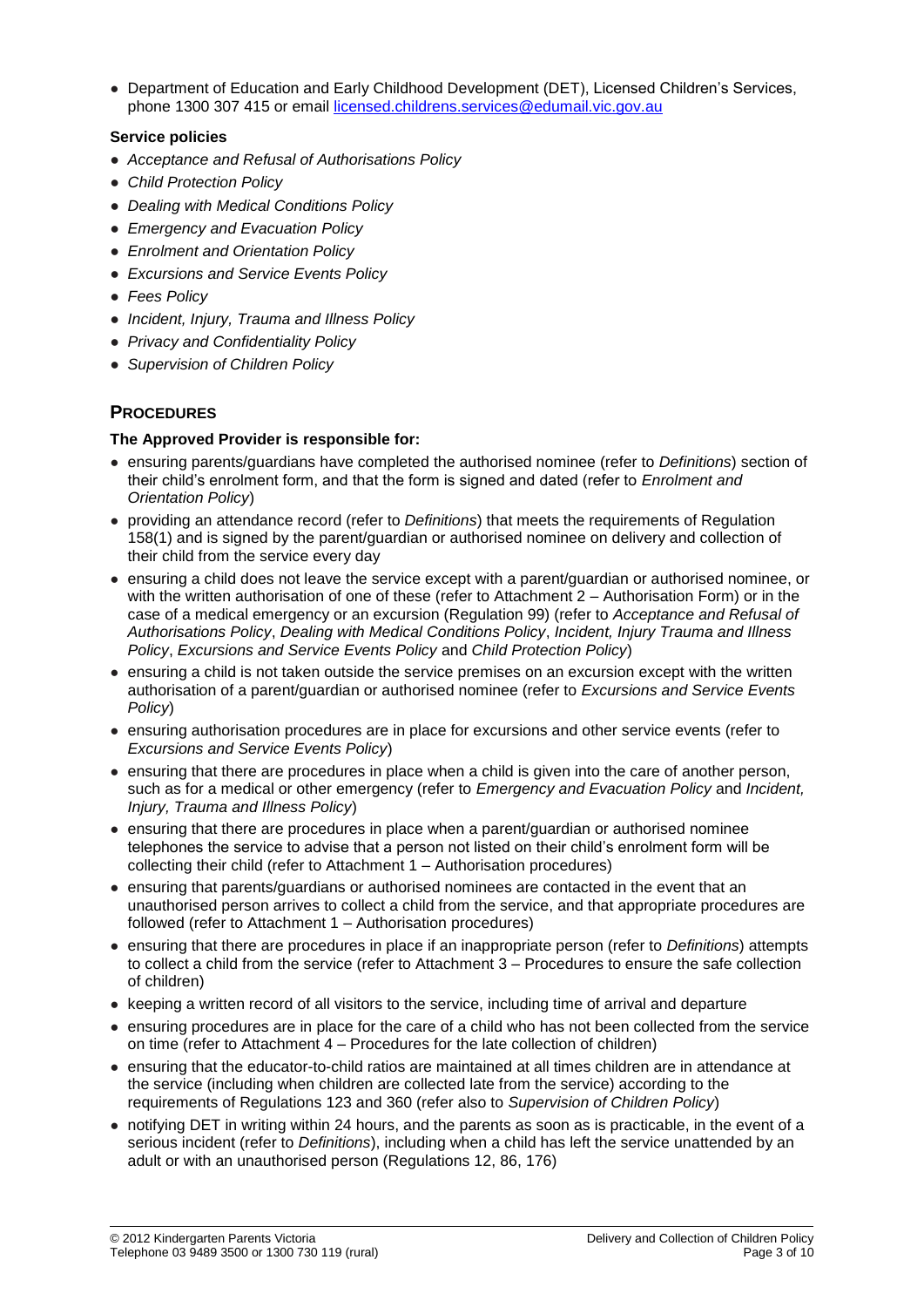● Department of Education and Early Childhood Development (DET), Licensed Children's Services, phone 1300 307 415 or email [licensed.childrens.services@edumail.vic.gov.au](mailto:licensed.childrens.services@edumail.vic.gov.au)

## **Service policies**

- *Acceptance and Refusal of Authorisations Policy*
- *Child Protection Policy*
- *Dealing with Medical Conditions Policy*
- *Emergency and Evacuation Policy*
- *Enrolment and Orientation Policy*
- *Excursions and Service Events Policy*
- *Fees Policy*
- *Incident, Injury, Trauma and Illness Policy*
- *Privacy and Confidentiality Policy*
- *Supervision of Children Policy*

# **PROCEDURES**

## **The Approved Provider is responsible for:**

- ensuring parents/guardians have completed the authorised nominee (refer to *Definitions*) section of their child's enrolment form, and that the form is signed and dated (refer to *Enrolment and Orientation Policy*)
- providing an attendance record (refer to *Definitions*) that meets the requirements of Regulation 158(1) and is signed by the parent/guardian or authorised nominee on delivery and collection of their child from the service every day
- ensuring a child does not leave the service except with a parent/guardian or authorised nominee, or with the written authorisation of one of these (refer to Attachment 2 – Authorisation Form) or in the case of a medical emergency or an excursion (Regulation 99) (refer to *Acceptance and Refusal of Authorisations Policy*, *Dealing with Medical Conditions Policy*, *Incident, Injury Trauma and Illness Policy*, *Excursions and Service Events Policy* and *Child Protection Policy*)
- ensuring a child is not taken outside the service premises on an excursion except with the written authorisation of a parent/guardian or authorised nominee (refer to *Excursions and Service Events Policy*)
- ensuring authorisation procedures are in place for excursions and other service events (refer to *Excursions and Service Events Policy*)
- ensuring that there are procedures in place when a child is given into the care of another person, such as for a medical or other emergency (refer to *Emergency and Evacuation Policy* and *Incident, Injury, Trauma and Illness Policy*)
- ensuring that there are procedures in place when a parent/guardian or authorised nominee telephones the service to advise that a person not listed on their child's enrolment form will be collecting their child (refer to Attachment 1 – Authorisation procedures)
- ensuring that parents/guardians or authorised nominees are contacted in the event that an unauthorised person arrives to collect a child from the service, and that appropriate procedures are followed (refer to Attachment 1 – Authorisation procedures)
- ensuring that there are procedures in place if an inappropriate person (refer to *Definitions*) attempts to collect a child from the service (refer to Attachment 3 – Procedures to ensure the safe collection of children)
- keeping a written record of all visitors to the service, including time of arrival and departure
- ensuring procedures are in place for the care of a child who has not been collected from the service on time (refer to Attachment 4 – Procedures for the late collection of children)
- ensuring that the educator-to-child ratios are maintained at all times children are in attendance at the service (including when children are collected late from the service) according to the requirements of Regulations 123 and 360 (refer also to *Supervision of Children Policy*)
- notifying DET in writing within 24 hours, and the parents as soon as is practicable, in the event of a serious incident (refer to *Definitions*), including when a child has left the service unattended by an adult or with an unauthorised person (Regulations 12, 86, 176)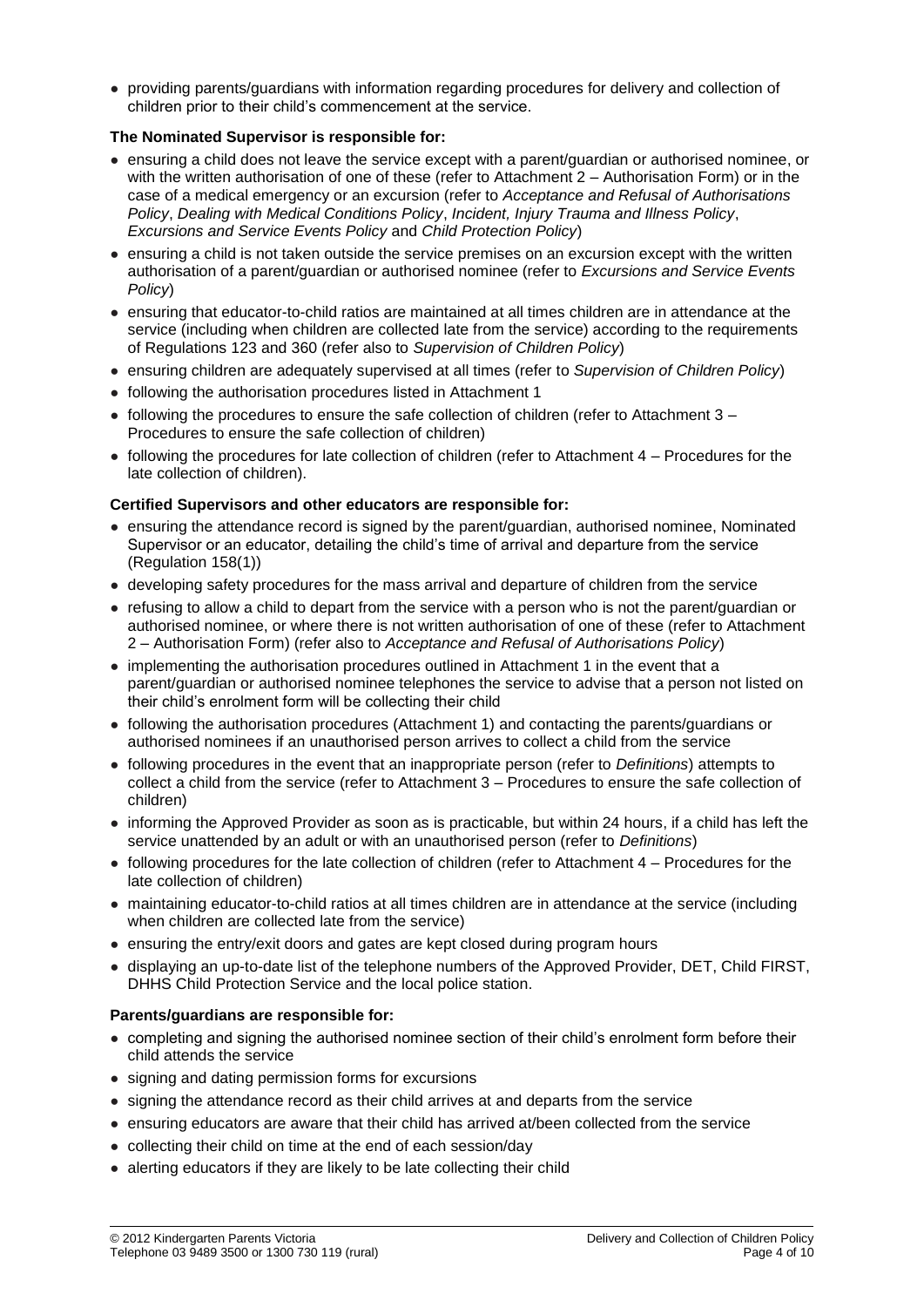● providing parents/guardians with information regarding procedures for delivery and collection of children prior to their child's commencement at the service.

## **The Nominated Supervisor is responsible for:**

- ensuring a child does not leave the service except with a parent/guardian or authorised nominee, or with the written authorisation of one of these (refer to Attachment 2 – Authorisation Form) or in the case of a medical emergency or an excursion (refer to *Acceptance and Refusal of Authorisations Policy*, *Dealing with Medical Conditions Policy*, *Incident, Injury Trauma and Illness Policy*, *Excursions and Service Events Policy* and *Child Protection Policy*)
- ensuring a child is not taken outside the service premises on an excursion except with the written authorisation of a parent/guardian or authorised nominee (refer to *Excursions and Service Events Policy*)
- ensuring that educator-to-child ratios are maintained at all times children are in attendance at the service (including when children are collected late from the service) according to the requirements of Regulations 123 and 360 (refer also to *Supervision of Children Policy*)
- ensuring children are adequately supervised at all times (refer to *Supervision of Children Policy*)
- following the authorisation procedures listed in Attachment 1
- $\bullet$  following the procedures to ensure the safe collection of children (refer to Attachment 3 Procedures to ensure the safe collection of children)
- following the procedures for late collection of children (refer to Attachment 4 Procedures for the late collection of children).

## **Certified Supervisors and other educators are responsible for:**

- ensuring the attendance record is signed by the parent/guardian, authorised nominee, Nominated Supervisor or an educator, detailing the child's time of arrival and departure from the service (Regulation 158(1))
- developing safety procedures for the mass arrival and departure of children from the service
- refusing to allow a child to depart from the service with a person who is not the parent/guardian or authorised nominee, or where there is not written authorisation of one of these (refer to Attachment 2 – Authorisation Form) (refer also to *Acceptance and Refusal of Authorisations Policy*)
- implementing the authorisation procedures outlined in Attachment 1 in the event that a parent/guardian or authorised nominee telephones the service to advise that a person not listed on their child's enrolment form will be collecting their child
- following the authorisation procedures (Attachment 1) and contacting the parents/guardians or authorised nominees if an unauthorised person arrives to collect a child from the service
- following procedures in the event that an inappropriate person (refer to *Definitions*) attempts to collect a child from the service (refer to Attachment 3 – Procedures to ensure the safe collection of children)
- informing the Approved Provider as soon as is practicable, but within 24 hours, if a child has left the service unattended by an adult or with an unauthorised person (refer to *Definitions*)
- following procedures for the late collection of children (refer to Attachment 4 Procedures for the late collection of children)
- maintaining educator-to-child ratios at all times children are in attendance at the service (including when children are collected late from the service)
- ensuring the entry/exit doors and gates are kept closed during program hours
- displaying an up-to-date list of the telephone numbers of the Approved Provider, DET, Child FIRST, DHHS Child Protection Service and the local police station.

#### **Parents/guardians are responsible for:**

- completing and signing the authorised nominee section of their child's enrolment form before their child attends the service
- signing and dating permission forms for excursions
- signing the attendance record as their child arrives at and departs from the service
- ensuring educators are aware that their child has arrived at/been collected from the service
- collecting their child on time at the end of each session/day
- alerting educators if they are likely to be late collecting their child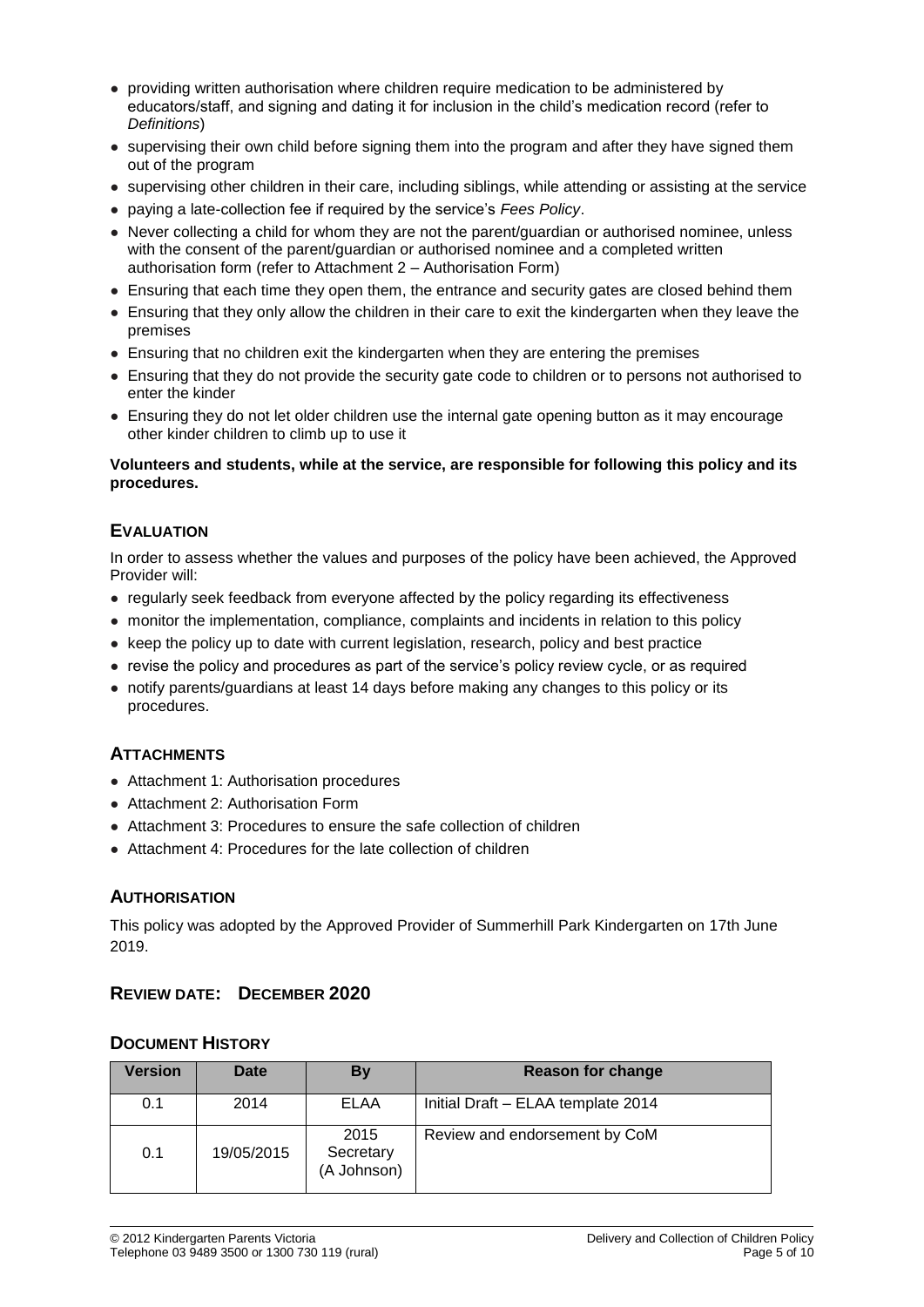- providing written authorisation where children require medication to be administered by educators/staff, and signing and dating it for inclusion in the child's medication record (refer to *Definitions*)
- supervising their own child before signing them into the program and after they have signed them out of the program
- supervising other children in their care, including siblings, while attending or assisting at the service
- paying a late-collection fee if required by the service's *Fees Policy*.
- Never collecting a child for whom they are not the parent/guardian or authorised nominee, unless with the consent of the parent/quardian or authorised nominee and a completed written authorisation form (refer to Attachment 2 – Authorisation Form)
- Ensuring that each time they open them, the entrance and security gates are closed behind them
- Ensuring that they only allow the children in their care to exit the kindergarten when they leave the premises
- Ensuring that no children exit the kindergarten when they are entering the premises
- Ensuring that they do not provide the security gate code to children or to persons not authorised to enter the kinder
- Ensuring they do not let older children use the internal gate opening button as it may encourage other kinder children to climb up to use it

#### **Volunteers and students, while at the service, are responsible for following this policy and its procedures.**

# **EVALUATION**

In order to assess whether the values and purposes of the policy have been achieved, the Approved Provider will:

- regularly seek feedback from everyone affected by the policy regarding its effectiveness
- monitor the implementation, compliance, complaints and incidents in relation to this policy
- keep the policy up to date with current legislation, research, policy and best practice
- revise the policy and procedures as part of the service's policy review cycle, or as required
- notify parents/guardians at least 14 days before making any changes to this policy or its procedures.

# **ATTACHMENTS**

- Attachment 1: Authorisation procedures
- Attachment 2: Authorisation Form
- Attachment 3: Procedures to ensure the safe collection of children
- Attachment 4: Procedures for the late collection of children

## **AUTHORISATION**

This policy was adopted by the Approved Provider of Summerhill Park Kindergarten on 17th June 2019.

# **REVIEW DATE: DECEMBER 2020**

## **DOCUMENT HISTORY**

| Version | <b>Date</b> | By                               | <b>Reason for change</b>           |
|---------|-------------|----------------------------------|------------------------------------|
| 0.1     | 2014        | ELAA                             | Initial Draft - ELAA template 2014 |
| 0.1     | 19/05/2015  | 2015<br>Secretary<br>(A Johnson) | Review and endorsement by CoM      |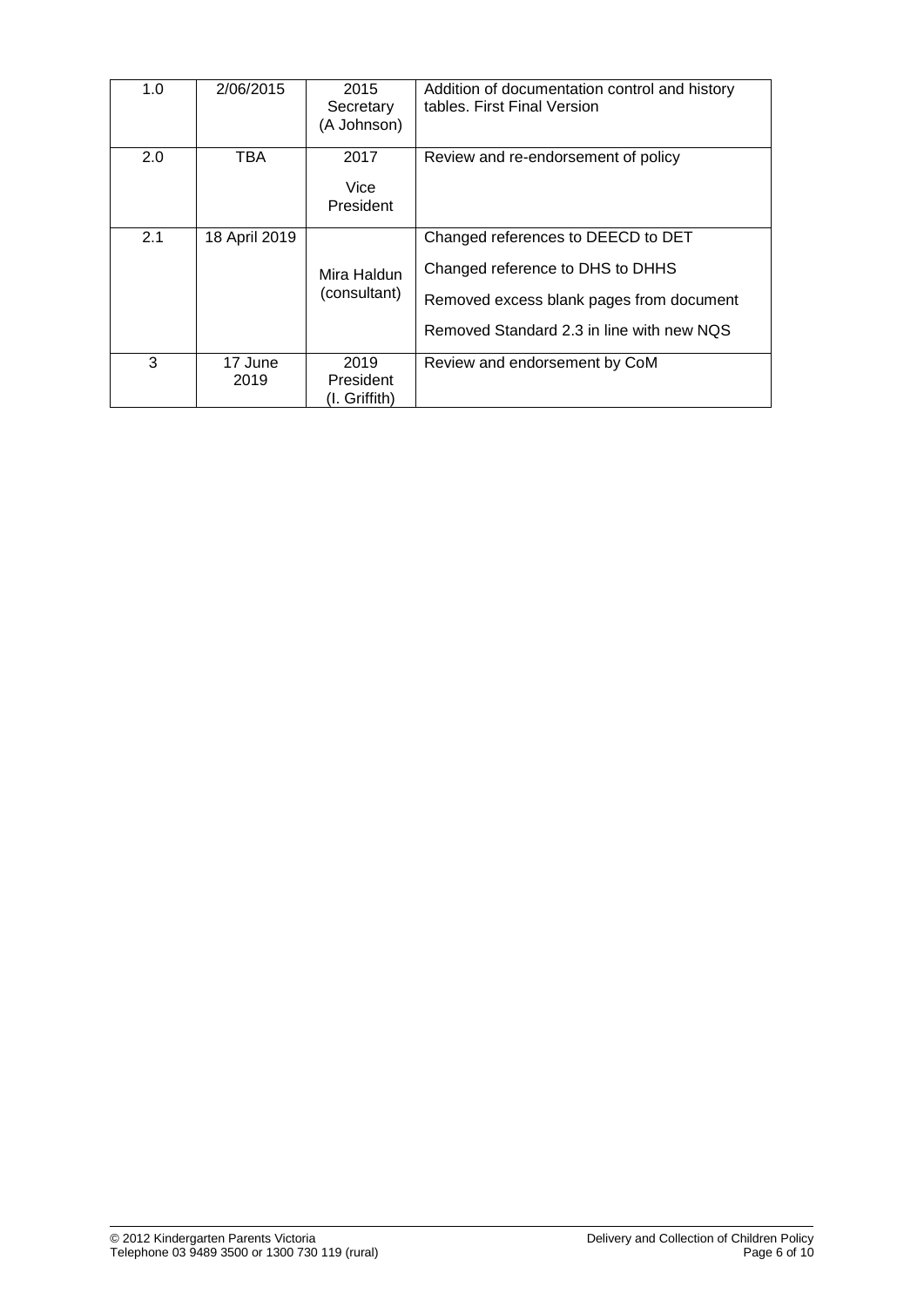| 1.0 | 2/06/2015       | 2015<br>Secretary<br>(A Johnson)   | Addition of documentation control and history<br>tables. First Final Version                                                                                    |
|-----|-----------------|------------------------------------|-----------------------------------------------------------------------------------------------------------------------------------------------------------------|
| 2.0 | TBA             | 2017<br>Vice<br>President          | Review and re-endorsement of policy                                                                                                                             |
| 2.1 | 18 April 2019   | Mira Haldun<br>(consultant)        | Changed references to DEECD to DET<br>Changed reference to DHS to DHHS<br>Removed excess blank pages from document<br>Removed Standard 2.3 in line with new NQS |
| 3   | 17 June<br>2019 | 2019<br>President<br>(I. Griffith) | Review and endorsement by CoM                                                                                                                                   |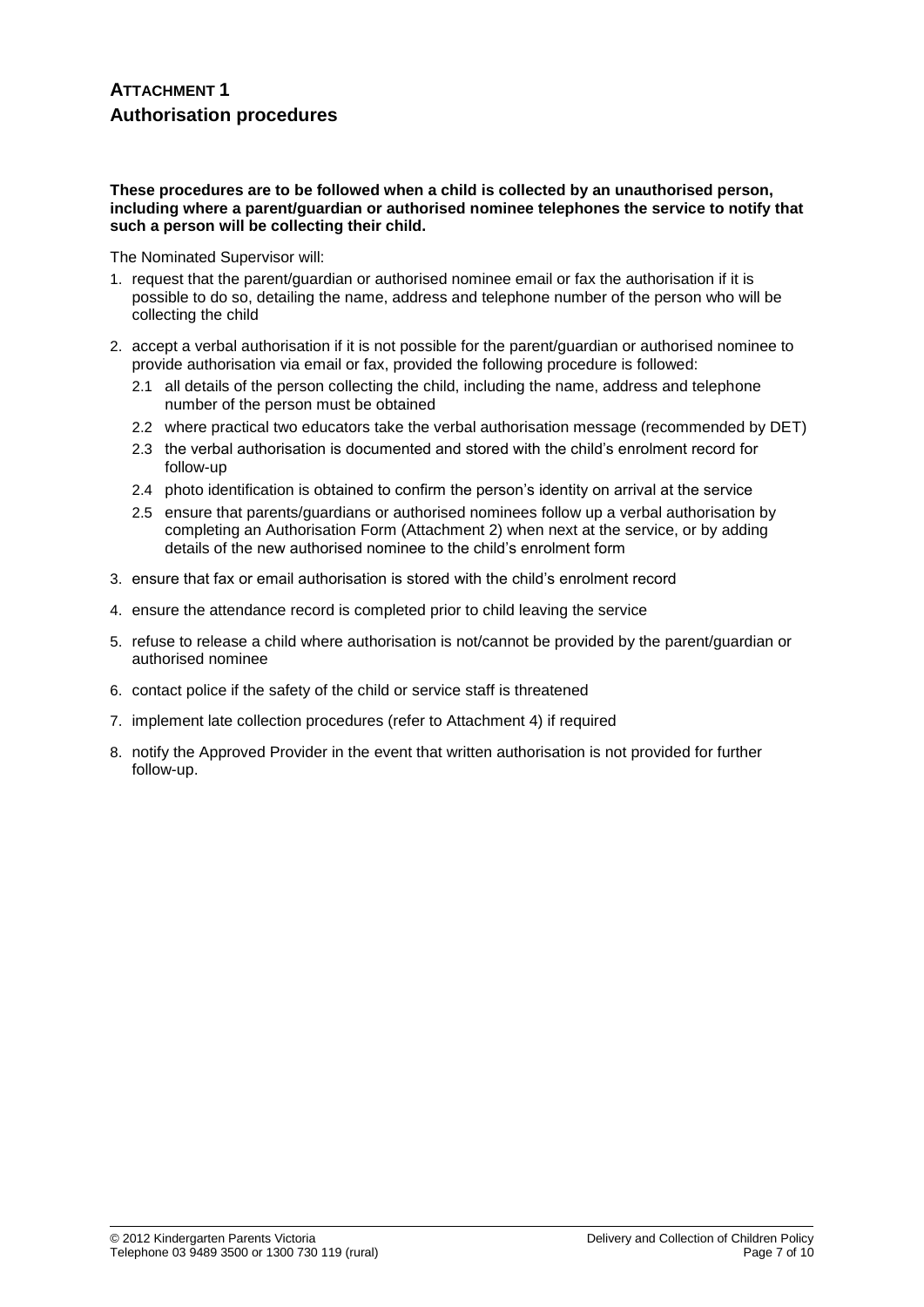# **ATTACHMENT 1 Authorisation procedures**

#### **These procedures are to be followed when a child is collected by an unauthorised person, including where a parent/guardian or authorised nominee telephones the service to notify that such a person will be collecting their child.**

The Nominated Supervisor will:

- 1. request that the parent/guardian or authorised nominee email or fax the authorisation if it is possible to do so, detailing the name, address and telephone number of the person who will be collecting the child
- 2. accept a verbal authorisation if it is not possible for the parent/guardian or authorised nominee to provide authorisation via email or fax, provided the following procedure is followed:
	- 2.1 all details of the person collecting the child, including the name, address and telephone number of the person must be obtained
	- 2.2 where practical two educators take the verbal authorisation message (recommended by DET)
	- 2.3 the verbal authorisation is documented and stored with the child's enrolment record for follow-up
	- 2.4 photo identification is obtained to confirm the person's identity on arrival at the service
	- 2.5 ensure that parents/guardians or authorised nominees follow up a verbal authorisation by completing an Authorisation Form (Attachment 2) when next at the service, or by adding details of the new authorised nominee to the child's enrolment form
- 3. ensure that fax or email authorisation is stored with the child's enrolment record
- 4. ensure the attendance record is completed prior to child leaving the service
- 5. refuse to release a child where authorisation is not/cannot be provided by the parent/guardian or authorised nominee
- 6. contact police if the safety of the child or service staff is threatened
- 7. implement late collection procedures (refer to Attachment 4) if required
- 8. notify the Approved Provider in the event that written authorisation is not provided for further follow-up.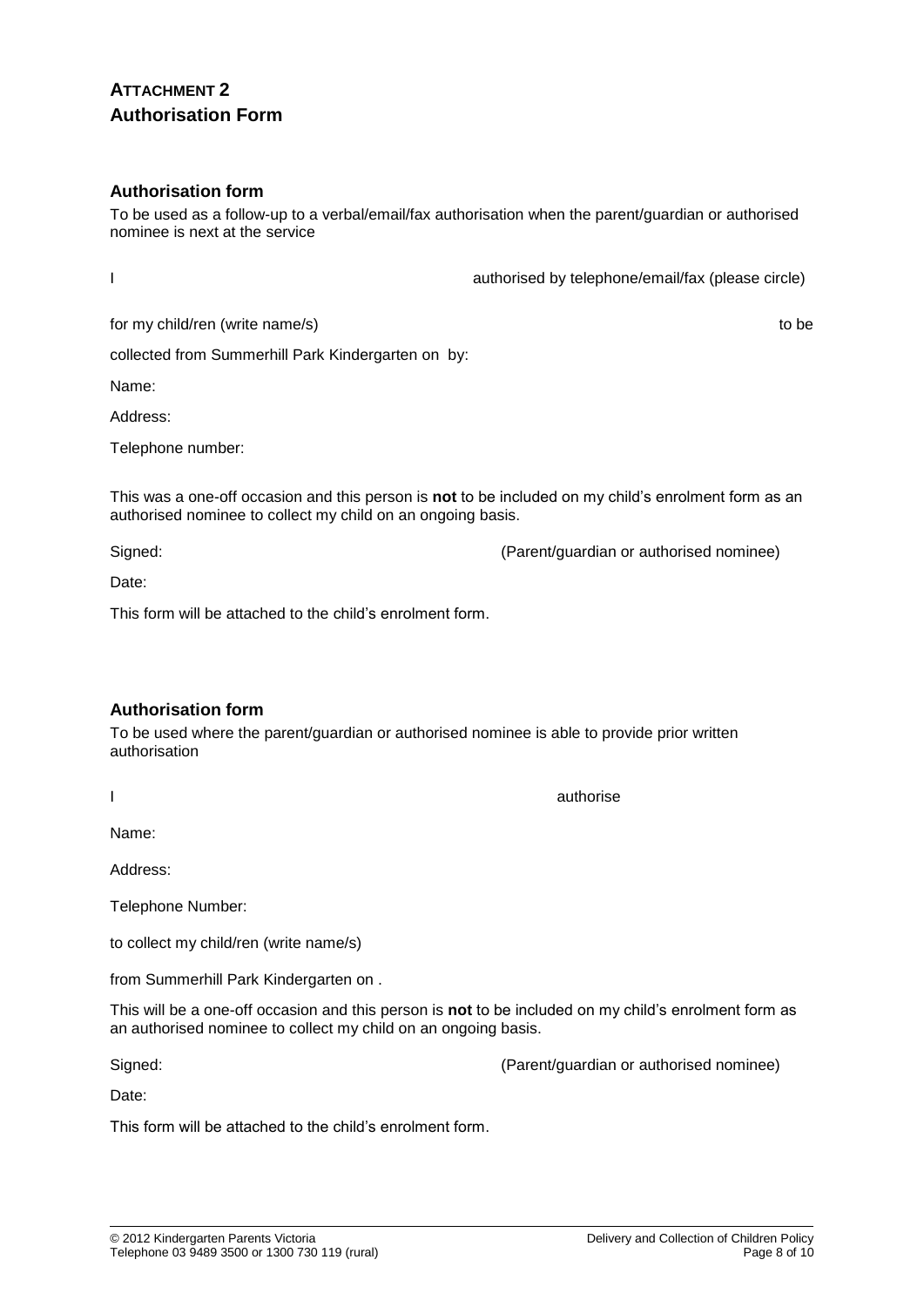# **ATTACHMENT 2 Authorisation Form**

#### **Authorisation form**

To be used as a follow-up to a verbal/email/fax authorisation when the parent/guardian or authorised nominee is next at the service

I authorised by telephone/email/fax (please circle)

collected from Summerhill Park Kindergarten on by:

Name:

Address:

Telephone number:

This was a one-off occasion and this person is **not** to be included on my child's enrolment form as an authorised nominee to collect my child on an ongoing basis.

Signed: (Parent/guardian or authorised nominee)

Date:

This form will be attached to the child's enrolment form.

## **Authorisation form**

To be used where the parent/guardian or authorised nominee is able to provide prior written authorisation

Name:

Address:

Telephone Number:

to collect my child/ren (write name/s)

from Summerhill Park Kindergarten on .

This will be a one-off occasion and this person is **not** to be included on my child's enrolment form as an authorised nominee to collect my child on an ongoing basis.

Signed: (Parent/guardian or authorised nominee)

Date:

This form will be attached to the child's enrolment form.

Delivery and Collection of Children Policy Page 8 of 10

I authorise and the contract of the contract of the contract of the contract of the contract of the contract of

for my child/ren (write name/s) to be to be to be to be to be to be to be to be to be to be to be to be to be to be to be to be to be to be to be to be to be to be to be to be to be to be to be to be to be to be to be to b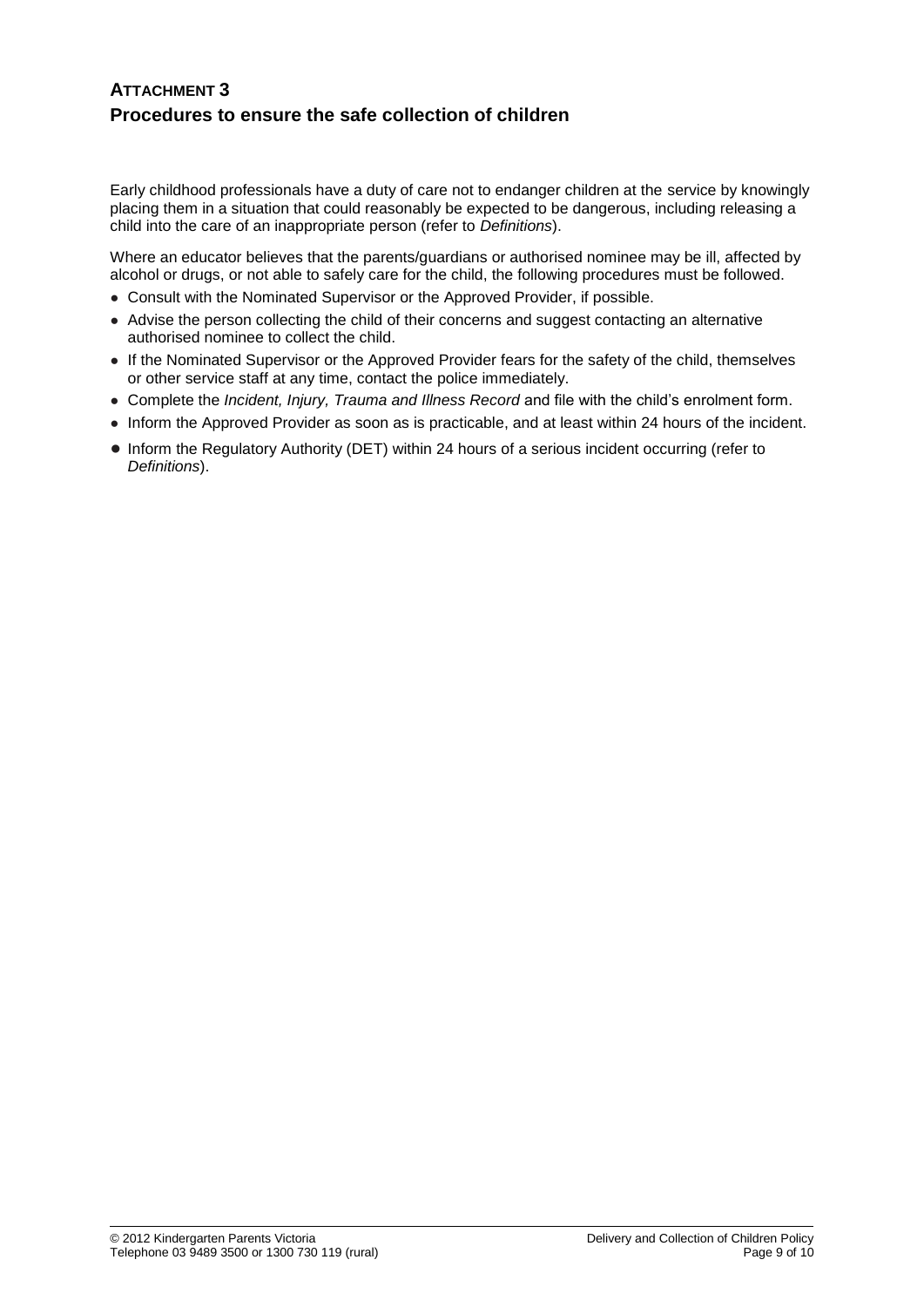# **ATTACHMENT 3 Procedures to ensure the safe collection of children**

Early childhood professionals have a duty of care not to endanger children at the service by knowingly placing them in a situation that could reasonably be expected to be dangerous, including releasing a child into the care of an inappropriate person (refer to *Definitions*).

Where an educator believes that the parents/guardians or authorised nominee may be ill, affected by alcohol or drugs, or not able to safely care for the child, the following procedures must be followed.

- Consult with the Nominated Supervisor or the Approved Provider, if possible.
- Advise the person collecting the child of their concerns and suggest contacting an alternative authorised nominee to collect the child.
- If the Nominated Supervisor or the Approved Provider fears for the safety of the child, themselves or other service staff at any time, contact the police immediately.
- Complete the *Incident, Injury, Trauma and Illness Record* and file with the child's enrolment form.
- Inform the Approved Provider as soon as is practicable, and at least within 24 hours of the incident.
- Inform the Regulatory Authority (DET) within 24 hours of a serious incident occurring (refer to *Definitions*).